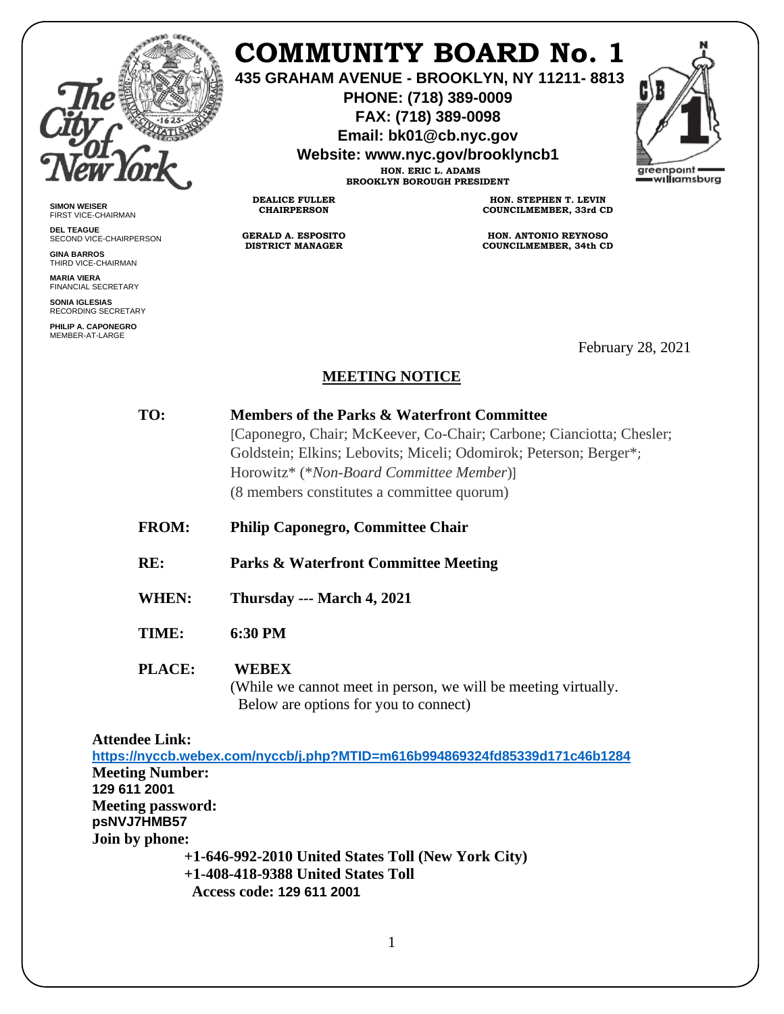

# **COMMUNITY BOARD No. 1**

**435 GRAHAM AVENUE - BROOKLYN, NY 11211- 8813**

**PHONE: (718) 389-0009 FAX: (718) 389-0098**

**Email: bk01@cb.nyc.gov**

**Website: www.nyc.gov/brooklyncb1**

**HON. ERIC L. ADAMS BROOKLYN BOROUGH PRESIDENT**

**DEALICE FULLER CHAIRPERSON**

**GERALD A. ESPOSITO DISTRICT MANAGER**

**HON. STEPHEN T. LEVIN COUNCILMEMBER, 33rd CD**

**HON. ANTONIO REYNOSO COUNCILMEMBER, 34th CD**

**SIMON WEISER** FIRST VICE-CHAIRMAN

**DEL TEAGUE** SECOND VICE-CHAIRPERSON

**GINA BARROS** THIRD VICE-CHAIRMAN

**MARIA VIERA** FINANCIAL SECRETARY

**SONIA IGLESIAS** RECORDING SECRETARY

**PHILIP A. CAPONEGRO** MEMBER-AT-LARGE



## **MEETING NOTICE**

| TO:                                                             | Members of the Parks & Waterfront Committee<br>[Caponegro, Chair; McKeever, Co-Chair; Carbone; Cianciotta; Chesler;<br>Goldstein; Elkins; Lebovits; Miceli; Odomirok; Peterson; Berger*;<br>Horowitz* (*Non-Board Committee Member)]<br>(8 members constitutes a committee quorum) |
|-----------------------------------------------------------------|------------------------------------------------------------------------------------------------------------------------------------------------------------------------------------------------------------------------------------------------------------------------------------|
| <b>FROM:</b>                                                    | <b>Philip Caponegro, Committee Chair</b>                                                                                                                                                                                                                                           |
| RE:                                                             | <b>Parks &amp; Waterfront Committee Meeting</b>                                                                                                                                                                                                                                    |
| <b>WHEN:</b>                                                    | Thursday --- March 4, 2021                                                                                                                                                                                                                                                         |
| TIME:                                                           | 6:30 PM                                                                                                                                                                                                                                                                            |
| PLACE:                                                          | <b>WEBEX</b><br>(While we cannot meet in person, we will be meeting virtually.<br>Below are options for you to connect)                                                                                                                                                            |
| <b>Attendee Link:</b><br><b>Meeting Number:</b><br>129 611 2001 | https://nyccb.webex.com/nyccb/j.php?MTID=m616b994869324fd85339d171c46b1284                                                                                                                                                                                                         |
| <b>Meeting password:</b><br>psNVJ7HMB57<br>Join by phone:       |                                                                                                                                                                                                                                                                                    |

**+1-646-992-2010 United States Toll (New York City) +1-408-418-9388 United States Toll**

 **Access code: 129 611 2001**